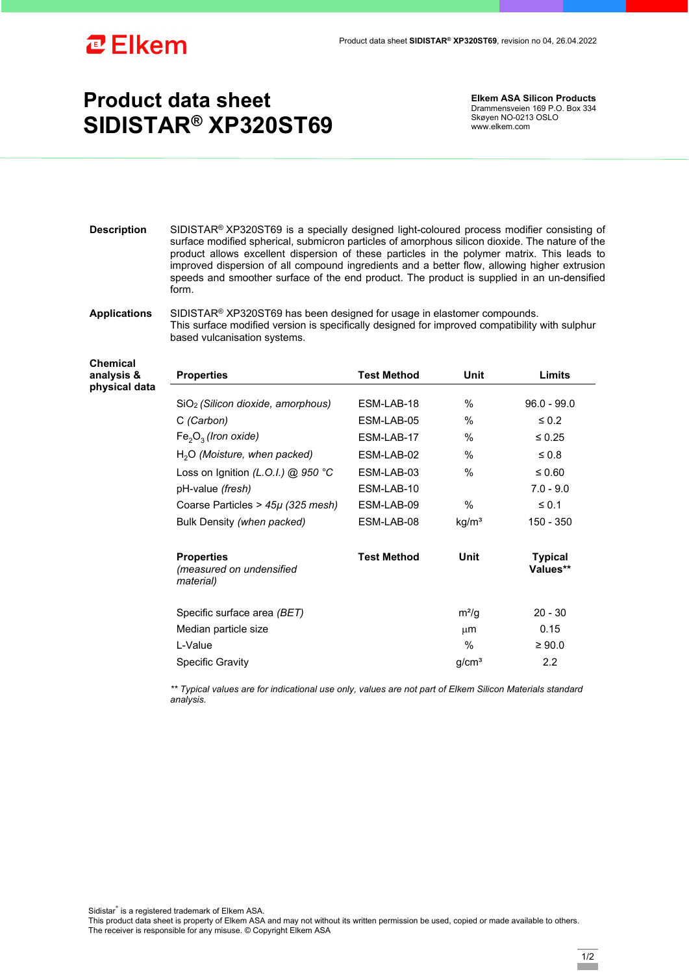

**Chemical analysis &** 

## **Product data sheet SIDISTAR® XP320ST69**

**Elkem ASA Silicon Products**  Drammensveien 169 P.O. Box 334 Skøyen NO-0213 OSLO www.elkem.com

**Description** SIDISTAR® XP320ST69 is a specially designed light-coloured process modifier consisting of surface modified spherical, submicron particles of amorphous silicon dioxide. The nature of the product allows excellent dispersion of these particles in the polymer matrix. This leads to improved dispersion of all compound ingredients and a better flow, allowing higher extrusion speeds and smoother surface of the end product. The product is supplied in an un-densified form.

## **Applications** SIDISTAR® XP320ST69 has been designed for usage in elastomer compounds. This surface modified version is specifically designed for improved compatibility with sulphur based vulcanisation systems.

| analysis &<br>physical data | <b>Properties</b>                                          | <b>Test Method</b> | Unit              | Limits                     |
|-----------------------------|------------------------------------------------------------|--------------------|-------------------|----------------------------|
|                             | SiO <sub>2</sub> (Silicon dioxide, amorphous)              | ESM-LAB-18         | %                 | $96.0 - 99.0$              |
|                             | C (Carbon)                                                 | ESM-LAB-05         | %                 | $\leq 0.2$                 |
|                             | $Fe2O3$ (Iron oxide)                                       | ESM-LAB-17         | %                 | $\leq 0.25$                |
|                             | $H2O$ (Moisture, when packed)                              | ESM-LAB-02         | $\frac{0}{0}$     | $\leq 0.8$                 |
|                             | Loss on Ignition (L.O.I.) @ 950 °C                         | ESM-LAB-03         | %                 | ≤ 0.60                     |
|                             | pH-value (fresh)                                           | ESM-LAB-10         |                   | $7.0 - 9.0$                |
|                             | Coarse Particles > $45\mu$ (325 mesh)                      | ESM-LAB-09         | %                 | $\leq 0.1$                 |
|                             | Bulk Density (when packed)                                 | ESM-LAB-08         | kg/m <sup>3</sup> | 150 - 350                  |
|                             | <b>Properties</b><br>(measured on undensified<br>material) | <b>Test Method</b> | Unit              | <b>Typical</b><br>Values** |
|                             | Specific surface area (BET)                                |                    | $m^2/q$           | $20 - 30$                  |
|                             | Median particle size                                       |                    | μm                | 0.15                       |
|                             | L-Value                                                    |                    | %                 | $\geq 90.0$                |
|                             | <b>Specific Gravity</b>                                    |                    | g/cm <sup>3</sup> | $2.2\phantom{0}$           |

*\*\* Typical values are for indicational use only, values are not part of Elkem Silicon Materials standard analysis.* 

Sidistar® is a registered trademark of Elkem ASA.

This product data sheet is property of Elkem ASA and may not without its written permission be used, copied or made available to others. The receiver is responsible for any misuse. © Copyright Elkem ASA